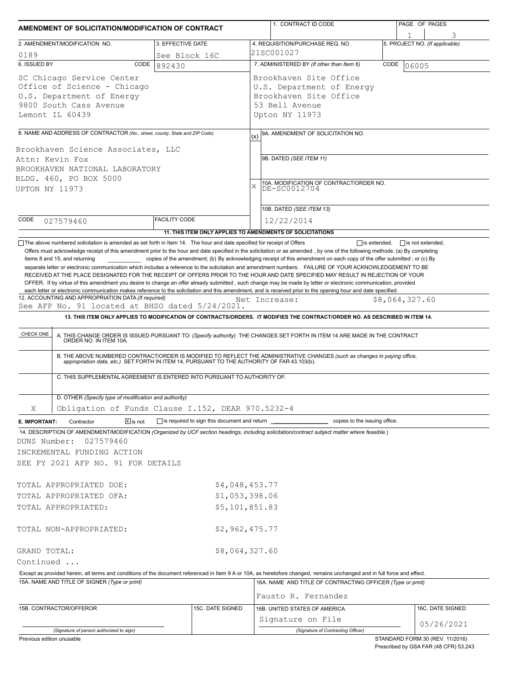| AMENDMENT OF SOLICITATION/MODIFICATION OF CONTRACT                                                                                                                                                                                                                                                                                                                                                                                                                                                                           |                         |                                                           |                                                                          | 1. CONTRACT ID CODE                                                                 |   | PAGE OF PAGES                  |
|------------------------------------------------------------------------------------------------------------------------------------------------------------------------------------------------------------------------------------------------------------------------------------------------------------------------------------------------------------------------------------------------------------------------------------------------------------------------------------------------------------------------------|-------------------------|-----------------------------------------------------------|--------------------------------------------------------------------------|-------------------------------------------------------------------------------------|---|--------------------------------|
|                                                                                                                                                                                                                                                                                                                                                                                                                                                                                                                              |                         |                                                           |                                                                          |                                                                                     | 1 |                                |
| 2. AMENDMENT/MODIFICATION NO.                                                                                                                                                                                                                                                                                                                                                                                                                                                                                                | 3. EFFECTIVE DATE       |                                                           |                                                                          | 4. REQUISITION/PURCHASE REQ. NO.                                                    |   | 5. PROJECT NO. (If applicable) |
| 0189<br>6. ISSUED BY<br>CODE                                                                                                                                                                                                                                                                                                                                                                                                                                                                                                 | See Block 16C<br>892430 |                                                           | 21SC001027<br>7. ADMINISTERED BY (If other than Item 6)<br>CODE<br>06005 |                                                                                     |   |                                |
| SC Chicago Service Center<br>Office of Science - Chicago<br>U.S. Department of Energy<br>9800 South Cass Avenue<br>Lemont IL 60439                                                                                                                                                                                                                                                                                                                                                                                           |                         |                                                           | 53 Bell Avenue<br>Upton NY 11973                                         | Brookhaven Site Office<br>U.S. Department of Energy<br>Brookhaven Site Office       |   |                                |
|                                                                                                                                                                                                                                                                                                                                                                                                                                                                                                                              |                         |                                                           |                                                                          |                                                                                     |   |                                |
| 8. NAME AND ADDRESS OF CONTRACTOR (No., street, county, State and ZIP Code)<br>Brookhaven Science Associates, LLC<br>Attn: Kevin Fox                                                                                                                                                                                                                                                                                                                                                                                         |                         |                                                           | (x)<br>9B. DATED (SEE ITEM 11)                                           | 9A. AMENDMENT OF SOLICITATION NO.                                                   |   |                                |
| BROOKHAVEN NATIONAL LABORATORY<br>BLDG. 460, PO BOX 5000<br><b>UPTON NY 11973</b>                                                                                                                                                                                                                                                                                                                                                                                                                                            |                         |                                                           | X                                                                        | 10A. MODIFICATION OF CONTRACT/ORDER NO.<br>DE-SC0012704<br>10B. DATED (SEE ITEM 13) |   |                                |
| CODE<br>027579460                                                                                                                                                                                                                                                                                                                                                                                                                                                                                                            | <b>FACILITY CODE</b>    |                                                           | 12/22/2014                                                               |                                                                                     |   |                                |
|                                                                                                                                                                                                                                                                                                                                                                                                                                                                                                                              |                         | 11. THIS ITEM ONLY APPLIES TO AMENDMENTS OF SOLICITATIONS |                                                                          |                                                                                     |   |                                |
| 13. THIS ITEM ONLY APPLIES TO MODIFICATION OF CONTRACTS/ORDERS. IT MODIFIES THE CONTRACT/ORDER NO. AS DESCRIBED IN ITEM 14.<br><b>CHECK ONE</b><br>A. THIS CHANGE ORDER IS ISSUED PURSUANT TO: (Specify authority) THE CHANGES SET FORTH IN ITEM 14 ARE MADE IN THE CONTRACT ORDER NO. IN ITEM 10A.<br>B. THE ABOVE NUMBERED CONTRACT/ORDER IS MODIFIED TO REFLECT THE ADMINISTRATIVE CHANGES (such as changes in paying office, appropriation data, etc.) SET FORTH IN ITEM 14, PURSUANT TO THE AUTHORITY OF FAR 43.103(b). |                         |                                                           |                                                                          |                                                                                     |   |                                |
| C. THIS SUPPLEMENTAL AGREEMENT IS ENTERED INTO PURSUANT TO AUTHORITY OF:                                                                                                                                                                                                                                                                                                                                                                                                                                                     |                         |                                                           |                                                                          |                                                                                     |   |                                |
| D. OTHER (Specify type of modification and authority)                                                                                                                                                                                                                                                                                                                                                                                                                                                                        |                         |                                                           |                                                                          |                                                                                     |   |                                |
| Obligation of Funds Clause I.152, DEAR 970.5232-4<br>X                                                                                                                                                                                                                                                                                                                                                                                                                                                                       |                         |                                                           |                                                                          |                                                                                     |   |                                |
| $\boxed{\mathsf{x}}$ is not<br>E. IMPORTANT:<br>Contractor<br>14. DESCRIPTION OF AMENDMENT/MODIFICATION (Organized by UCF section headings, including solicitation/contract subject matter where feasible.)<br>DUNS Number:<br>027579460<br>INCREMENTAL FUNDING ACTION<br>SEE FY 2021 AFP NO. 91 FOR DETAILS                                                                                                                                                                                                                 |                         | $\Box$ is required to sign this document and return       |                                                                          | copies to the issuing office.                                                       |   |                                |
| TOTAL APPROPRIATED DOE:                                                                                                                                                                                                                                                                                                                                                                                                                                                                                                      |                         | \$4,048,453.77                                            |                                                                          |                                                                                     |   |                                |
| TOTAL APPROPRIATED OFA:                                                                                                                                                                                                                                                                                                                                                                                                                                                                                                      |                         | \$1,053,398.06                                            |                                                                          |                                                                                     |   |                                |
| TOTAL APPROPRIATED:                                                                                                                                                                                                                                                                                                                                                                                                                                                                                                          |                         | \$5,101,851.83                                            |                                                                          |                                                                                     |   |                                |
| TOTAL NON-APPROPRIATED:                                                                                                                                                                                                                                                                                                                                                                                                                                                                                                      |                         | \$2,962,475.77                                            |                                                                          |                                                                                     |   |                                |
| GRAND TOTAL:                                                                                                                                                                                                                                                                                                                                                                                                                                                                                                                 |                         | \$8,064,327.60                                            |                                                                          |                                                                                     |   |                                |
| Continued                                                                                                                                                                                                                                                                                                                                                                                                                                                                                                                    |                         |                                                           |                                                                          |                                                                                     |   |                                |
| Except as provided herein, all terms and conditions of the document referenced in Item 9 A or 10A, as heretofore changed, remains unchanged and in full force and effect.                                                                                                                                                                                                                                                                                                                                                    |                         |                                                           |                                                                          |                                                                                     |   |                                |
| 15A. NAME AND TITLE OF SIGNER (Type or print)                                                                                                                                                                                                                                                                                                                                                                                                                                                                                |                         |                                                           |                                                                          | 16A. NAME AND TITLE OF CONTRACTING OFFICER (Type or print)                          |   |                                |
|                                                                                                                                                                                                                                                                                                                                                                                                                                                                                                                              |                         |                                                           |                                                                          | Fausto R. Fernandez                                                                 |   |                                |
| 15B. CONTRACTOR/OFFEROR                                                                                                                                                                                                                                                                                                                                                                                                                                                                                                      |                         | 15C. DATE SIGNED                                          |                                                                          | 16B. UNITED STATES OF AMERICA                                                       |   | 16C. DATE SIGNED               |
|                                                                                                                                                                                                                                                                                                                                                                                                                                                                                                                              |                         |                                                           |                                                                          | Signature on File<br>(Signature of Contracting Officer)                             |   | 05/26/2021                     |
| (Signature of person authorized to sign)                                                                                                                                                                                                                                                                                                                                                                                                                                                                                     |                         |                                                           |                                                                          |                                                                                     |   |                                |

Previous edition unusable

STANDARD FORM 30 (REV. 11/2016) Prescribed by GSA FAR (48 CFR) 53.243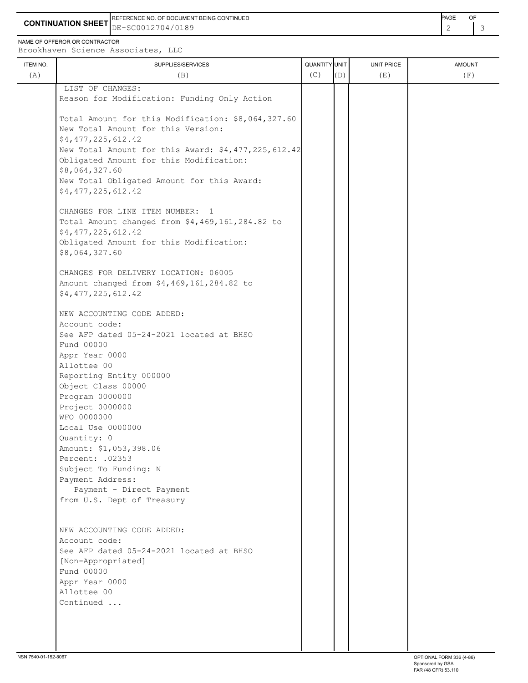REFERENCE NO. OF DOCUMENT BEING CONTINUED **A CONTINUED PAGE OF PAGE OF PAGE OF PAGE** 

**CONTINUATION SHEET** DE-SC0012704/0189

NAME OF OFFEROR OR CONTRACTOR

ITEM NO. ┃ SUPPLIES/SERVICES UNIT PRICE AMOUNT Brookhaven Science Associates, LLC (A)  $(B)$  (B)  $(C)$   $(D)$  (E)  $(E)$  (F) LIST OF CHANGES: Reason for Modification: Funding Only Action Total Amount for this Modification: \$8,064,327.60 New Total Amount for this Version: \$4,477,225,612.42 New Total Amount for this Award: \$4,477,225,612.42 Obligated Amount for this Modification: \$8,064,327.60 New Total Obligated Amount for this Award: \$4,477,225,612.42 CHANGES FOR LINE ITEM NUMBER: 1 Total Amount changed from \$4,469,161,284.82 to \$4,477,225,612.42 Obligated Amount for this Modification: \$8,064,327.60 CHANGES FOR DELIVERY LOCATION: 06005 Amount changed from \$4,469,161,284.82 to \$4,477,225,612.42 NEW ACCOUNTING CODE ADDED: Account code: See AFP dated 05-24-2021 located at BHSO Fund 00000 Appr Year 0000 Allottee 00 Reporting Entity 000000 Object Class 00000 Program 0000000 Project 0000000 WFO 0000000 Local Use 0000000 Quantity: 0 Amount: \$1,053,398.06 Percent: .02353 Subject To Funding: N Payment Address: Payment - Direct Payment from U.S. Dept of Treasury NEW ACCOUNTING CODE ADDED: Account code: See AFP dated 05-24-2021 located at BHSO [Non-Appropriated] Fund 00000 Appr Year 0000 Allottee 00 Continued ...